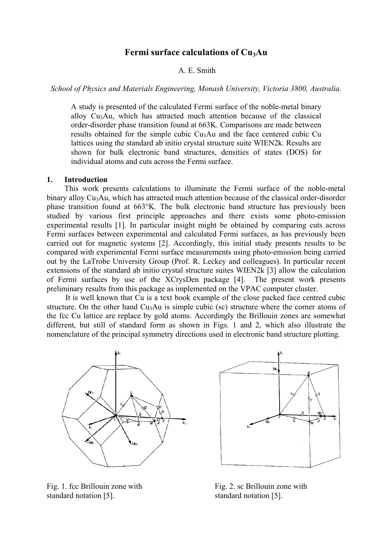# **Fermi surface calculations of Cu3Au**

## A. E. Smith

*School of Physics and Materials Engineering, Monash University, Victoria 3800, Australia.* 

A study is presented of the calculated Fermi surface of the noble-metal binary alloy Cu3Au, which has attracted much attention because of the classical order-disorder phase transition found at 663K. Comparisons are made between results obtained for the simple cubic Cu3Au and the face centered cubic Cu lattices using the standard ab initio crystal structure suite WIEN2k. Results are shown for bulk electronic band structures, densities of states (DOS) for individual atoms and cuts across the Fermi surface.

#### **1. Introduction**

This work presents calculations to illuminate the Fermi surface of the noble-metal binary alloy Cu<sub>3</sub>Au, which has attracted much attention because of the classical order-disorder phase transition found at 663°K. The bulk electronic band structure has previously been studied by various first principle approaches and there exists some photo-emission experimental results [1]. In particular insight might be obtained by comparing cuts across Fermi surfaces between experimental and calculated Fermi surfaces, as has previously been carried out for magnetic systems [2]. Accordingly, this initial study presents results to be compared with experimental Fermi surface measurements using photo-emission being carried out by the LaTrobe University Group (Prof. R. Leckey and colleagues). In particular recent extensions of the standard ab initio crystal structure suites WIEN2k [3] allow the calculation of Fermi surfaces by use of the XCrysDen package [4]. The present work presents preliminary results from this package as implemented on the VPAC computer cluster.

It is well known that Cu is a text book example of the close packed face centred cubic structure. On the other hand  $Cu<sub>3</sub>Au$  is simple cubic (sc) structure where the corner atoms of the fcc Cu lattice are replace by gold atoms. Accordingly the Brillouin zones are somewhat different, but still of standard form as shown in Figs. 1 and 2, which also illustrate the nomenclature of the principal symmetry directions used in electronic band structure plotting.



 $\frac{1}{2}$ 

standard notation [5]. standard notation [5].

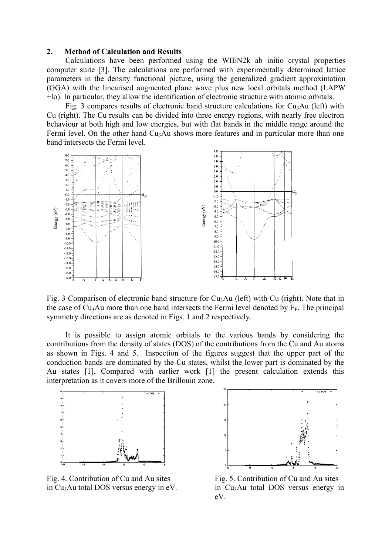## **2. Method of Calculation and Results**

Calculations have been performed using the WIEN2k ab initio crystal properties computer suite [3]. The calculations are performed with experimentally determined lattice parameters in the density functional picture, using the generalized gradient approximation (GGA) with the linearised augmented plane wave plus new local orbitals method (LAPW +lo). In particular, they allow the identification of electronic structure with atomic orbitals.

Fig. 3 compares results of electronic band structure calculations for  $Cu<sub>3</sub>Au$  (left) with Cu (right). The Cu results can be divided into three energy regions, with nearly free electron behaviour at both high and low energies, but with flat bands in the middle range around the Fermi level. On the other hand Cu<sub>3</sub>Au shows more features and in particular more than one band intersects the Fermi level.



Fig. 3 Comparison of electronic band structure for Cu<sub>3</sub>Au (left) with Cu (right). Note that in the case of  $Cu<sub>3</sub>Au$  more than one band intersects the Fermi level denoted by  $E<sub>F</sub>$ . The principal symmetry directions are as denoted in Figs. 1 and 2 respectively.

It is possible to assign atomic orbitals to the various bands by considering the contributions from the density of states (DOS) of the contributions from the Cu and Au atoms as shown in Figs. 4 and 5. Inspection of the figures suggest that the upper part of the conduction bands are dominated by the Cu states, whilst the lower part is dominated by the Au states [1]. Compared with earlier work [1] the present calculation extends this interpretation as it covers more of the Brillouin zone.



Fig. 4. Contribution of Cu and Au sites Fig. 5. Contribution of Cu and Au sites in Cu<sub>3</sub>Au total DOS versus energy in eV.  $\qquad \qquad$  in Cu<sub>3</sub>Au total DOS versus energy in



eV.